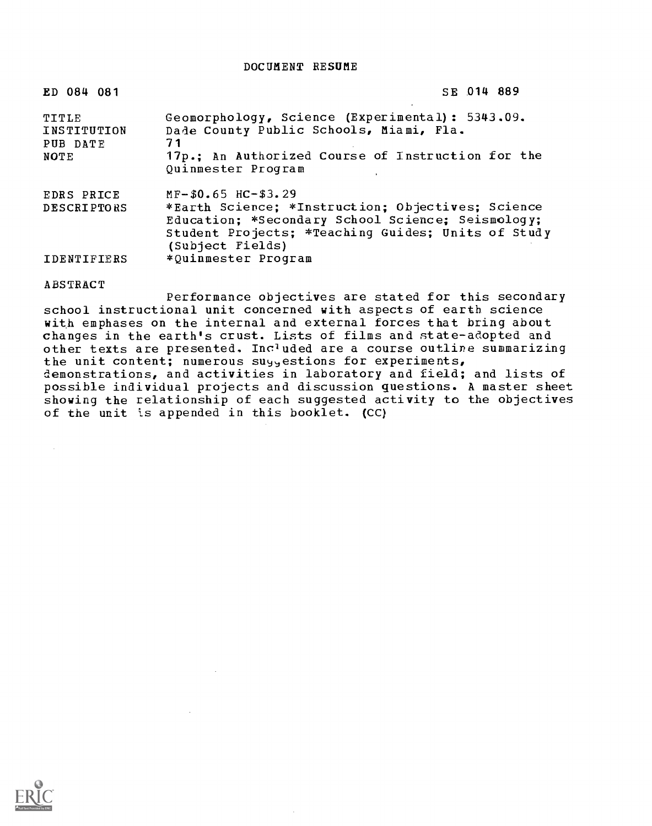DOCUMENT RESUME

| ED 084 081                               | SE 014 889                                                                                                                                                                                               |  |  |  |  |
|------------------------------------------|----------------------------------------------------------------------------------------------------------------------------------------------------------------------------------------------------------|--|--|--|--|
| TITLE<br>INSTITUTION<br>PUB DATE<br>NOTE | Geomorphology, Science (Experimental): 5343.09.<br>Dade County Public Schools, Miami, Fla.<br>71<br>17p.; An Authorized Course of Instruction for the<br>Quinmester Program                              |  |  |  |  |
| EDRS PRICE<br><b>DESCRIPTORS</b>         | $MF-$0.65$ HC-\$3.29<br>*Earth Science; *Instruction; Objectives; Science<br>Education; *Secondary School Science; Seismology;<br>Student Projects; *Teaching Guides; Units of Study<br>(Subject Fields) |  |  |  |  |
| IDENTIFIERS                              | *Quinmester Program                                                                                                                                                                                      |  |  |  |  |

#### ABSTRACT

 $\mathcal{L}$ 

Performance objectives are stated for this secondary school instructional unit concerned with aspects of earth science with emphases on the internal and external forces that bring about changes in the earth's crust. Lists of films and state-adopted and other texts are presented. Included are a course outline summarizing the unit content; numerous suyyestions for experiments, demonstrations, and activities in laboratory and field; and lists of possible individual projects and discussion questions. A master sheet showing the relationship of each suggested activity to the objectives of the unit is appended in this booklet. (CC)

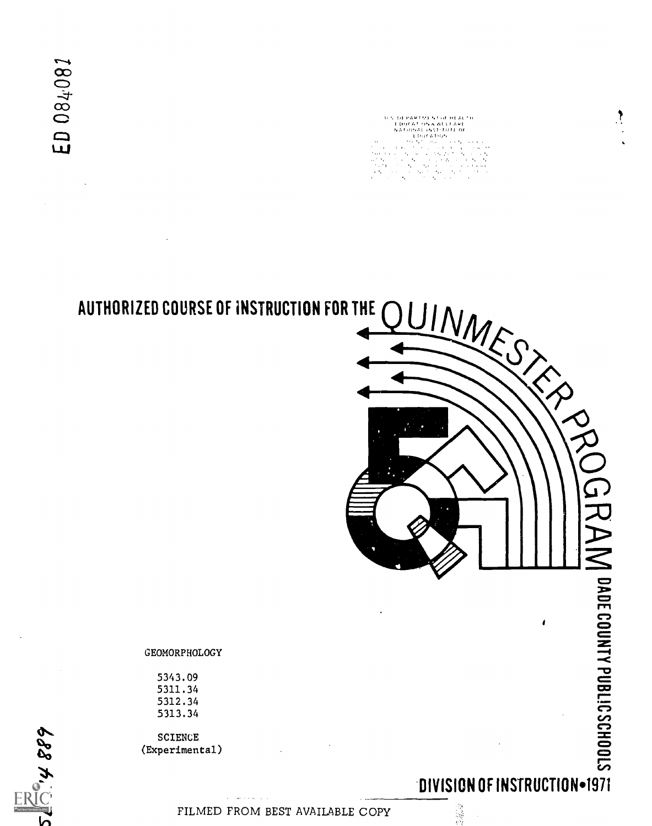11 C. DE RARTMENT OF HEAT TH (,), 1.1 .nf.f 1A,1 ....//f/.4,1 1,4%1. TI111 01 I M:, 1.1.C., 

 $\mathbf{r}$ 



#### GEOMORPHOLOGY

5343.09 5311.34 5312.34 5313.34

SCIENCE (Experimental)

5887.00

# **DIVISION OF INSTRUCTION**<br>
FILMED FROM BEST AVAILABLE COPY<br>
GUILLE COPY

FILMED FROM BEST AVAILABLE COPY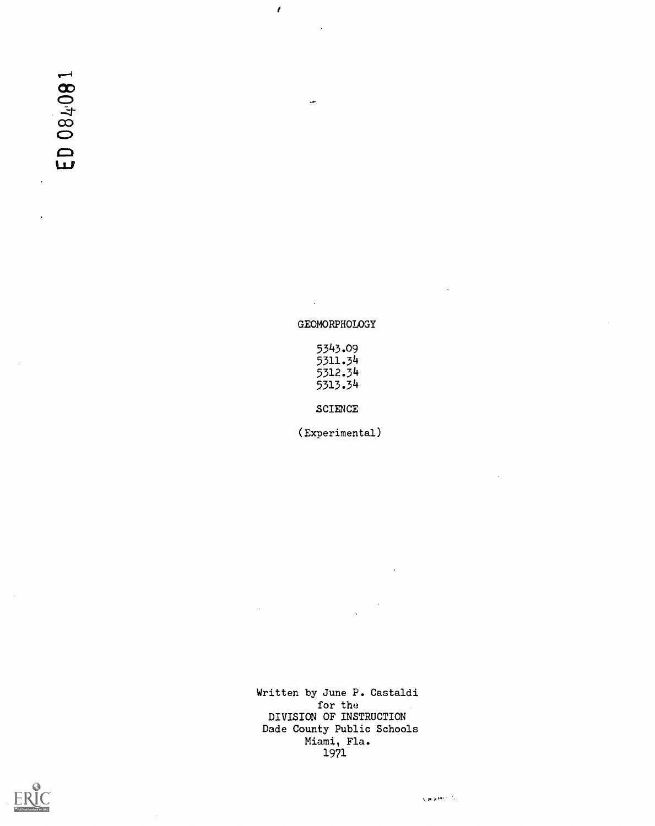#### GEOMORPHOLOGY

/

للعد

| 5343.09 |  |
|---------|--|
| 5311.34 |  |
| 5312.34 |  |
| 5313.34 |  |

SCIENCE

(Experimental)

Written by June P. Castaldi for the DIVISION OF INSTRUCTION Dade County Public Schools Miami, Fla. 1971

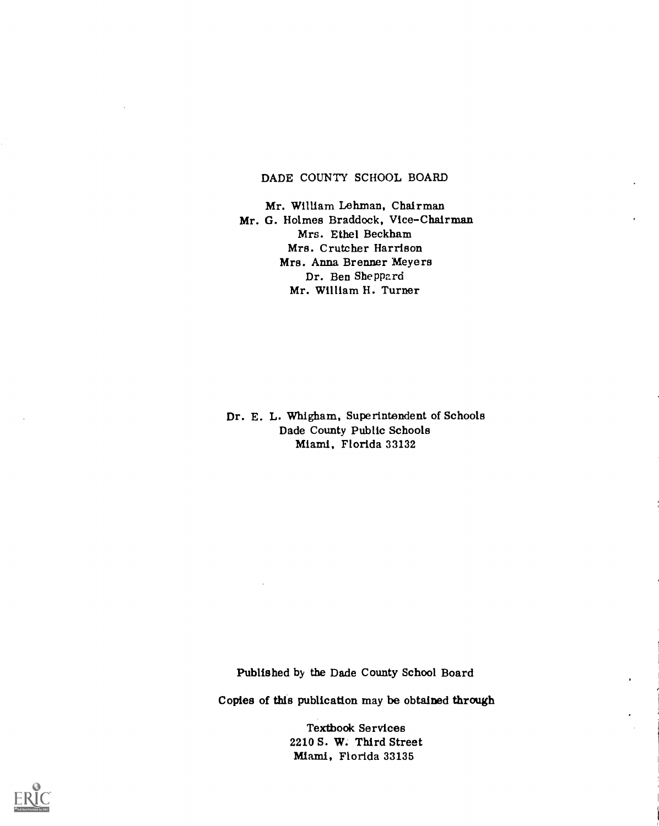#### DADE COUNTY SCHOOL BOARD

Mr. William Lehman, Chairman Mr. G. Holmes Braddock, Vice-Chairman Mrs. Ethel Beckham Mrs. Crutcher Harrison Mrs. Anna Brenner Meyers Dr. Ben Sheppard Mr. William H. Turner

Dr. E. L. Whigham, Superintendent of Schools Dade County Public Schools Miami, Florida 33132

Published by the Dade County School Board

Copies of this publication may be obtained through

Textbook Services 2210 S. W. Third Street Miami, Florida 33135

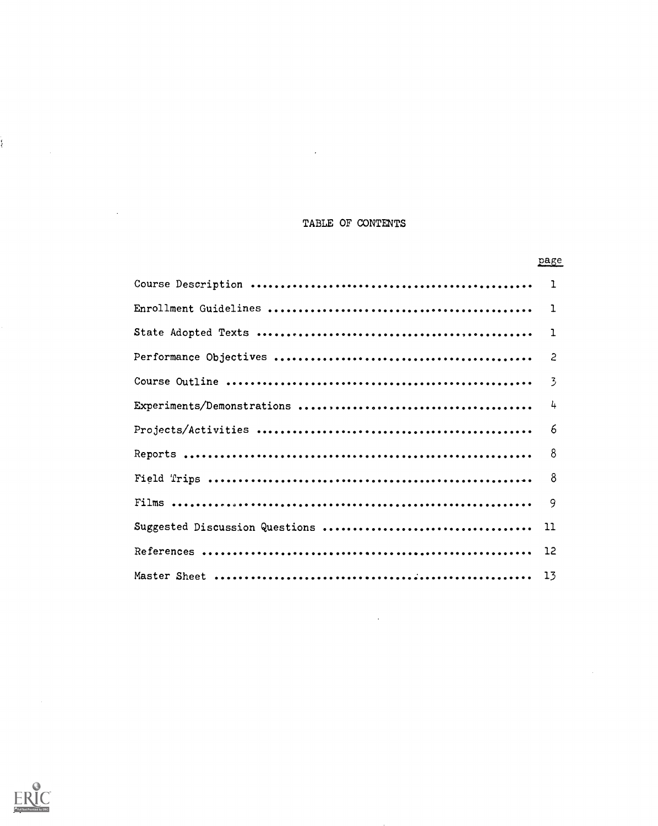### TABLE OF CONTENTS

 $\sim$ 

| page           |
|----------------|
|                |
| 1              |
| 1              |
|                |
| $\overline{3}$ |
| 4              |
| 6              |
| 8              |
| 8              |
| 9              |
| 11             |
|                |
| 13             |

 $\ddot{\phantom{a}}$ 



ţ.

 $\ddot{\phantom{a}}$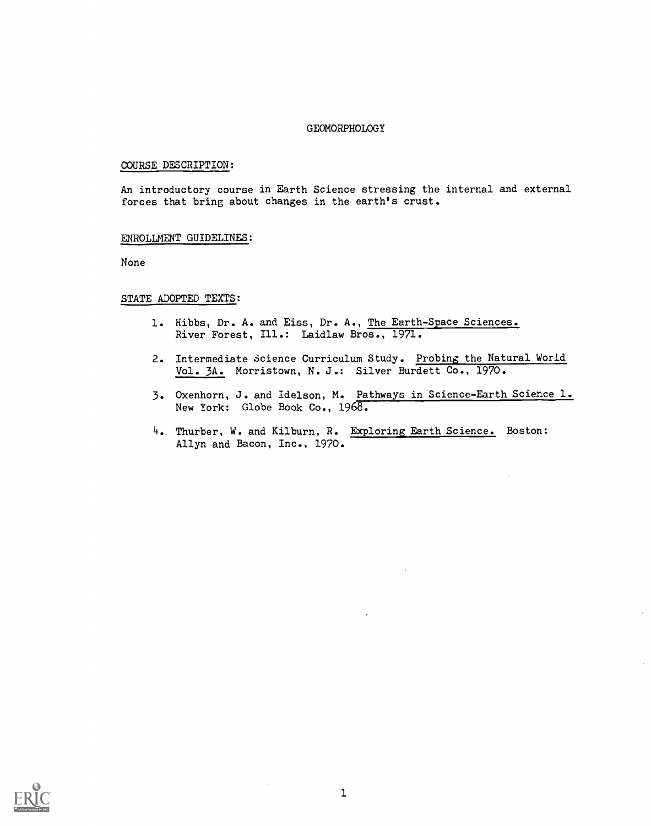#### GEOMORPHOLOGY

#### COURSE DESCRIPTION:

An introductory course in Earth Science stressing the internal and external forces that bring about changes in the earth's crust.

#### ENROLLMENT GUIDELINES:

None

#### STATE ADOPTED TEXTS:

- 1. Hibbs, Dr. A. and Eiss, Dr. A., The Earth-Space Sciences. River Forest, Ill.: Laidlaw Bros., 1971.
- 2. Intermediate Science Curriculum Study. Probing the Natural World Vol. 3A. Morristown, N. J.: Silver Burdett Co., 1970.
- 3. Oxenhorn, J. and Idelson, M. Pathways in Science-Earth Science 1. New York: Globe Book Co., 1968.
- 4. Thurber, W. and Kilburn, R. Exploring Earth Science. Boston: Allyn and Bacon, Inc., 1970.

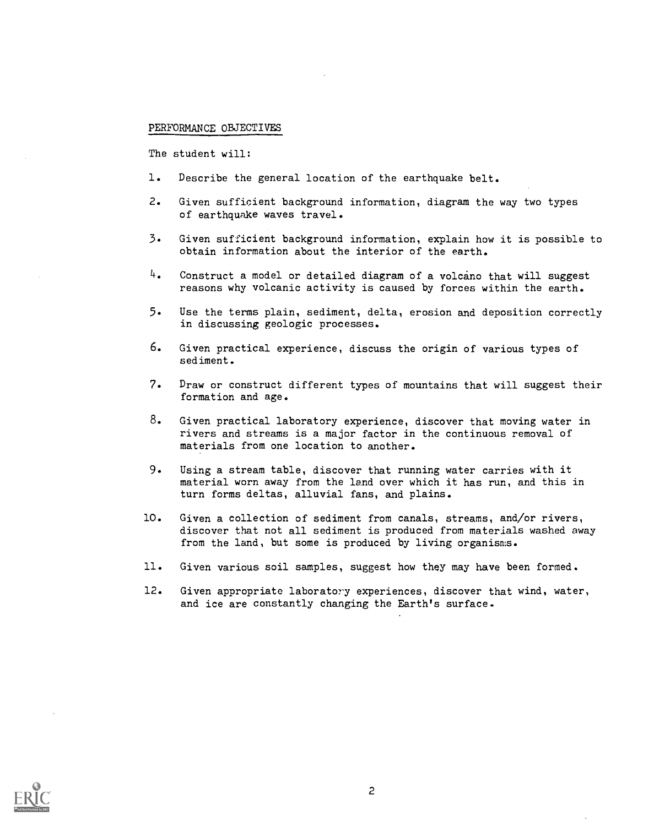#### PERFORMANCE OBJECTIVES

The student will:

- 1. Describe the general location of the earthquake belt.
- 2. Given sufficient background information, diagram the way two types of earthquake waves travel.
- 3. Given sufficient background information, explain how it is possible to obtain information about the interior of the earth.
- 4. Construct a model or detailed diagram of a volcano that will suggest reasons why volcanic activity is caused by forces within the earth.
- 5. Use the terms plain, sediment, delta, erosion and deposition correctly in discussing geologic processes.
- 6. Given practical experience, discuss the origin of various types of sediment.
- 7. Draw or construct different types of mountains that will suggest their formation and age.
- $8.$  Given practical laboratory experience, discover that moving water in rivers and streams is a major factor in the continuous removal of materials from one location to another.
- 9. Using a stream table, discover that running water carries with it material worn away from the land over which it has run, and this in turn forms deltas, alluvial fans, and plains.
- 10. Given a collection of sediment from canals, streams, and/or rivers, discover that not all sediment is produced from materials washed away from the land, but some is produced by living organisms.
- 11. Given various soil samples, suggest how they may have been formed.
- 12. Given appropriate laboratory experiences, discover that wind, water, and ice are constantly changing the Earth's surface.

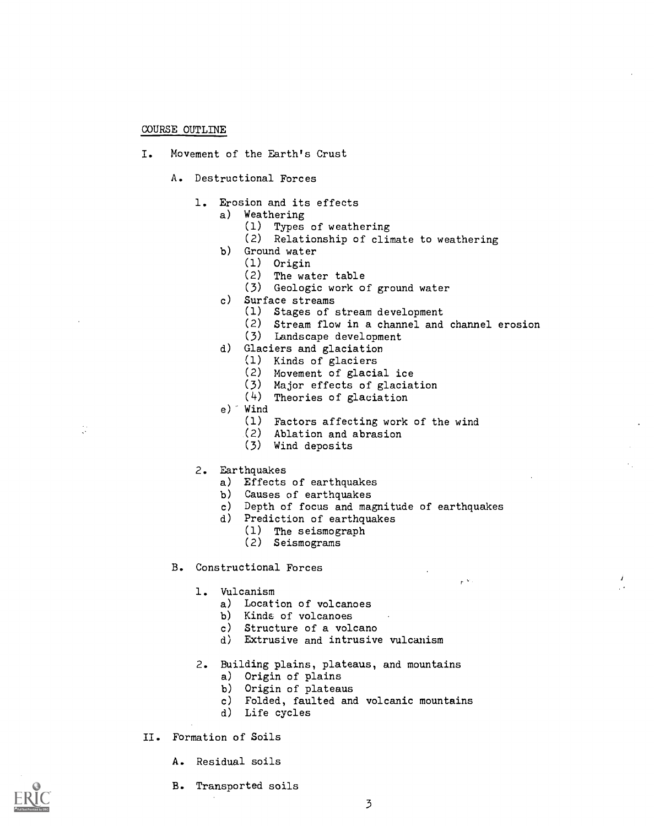#### COURSE OUTLINE

- I. Movement of the Earth's Crust
	- A. Destructional Forces
		- 1. Erosion and its effects
			- a) Weathering
				- (1) Types of weathering
				- (2) Relationship of climate to weathering
			- b) Ground water
				- (1) Origin
					- (2) The water table
					- (3) Geologic work of ground water
			- c) Surface streams
				- (1) Stages of stream development
				- (2) Stream flow in a channel and channel erosion
				- (3) Landscape development
			- d) Glaciers and glaciation
				- (1) Kinds of glaciers
				- (2) Movement of glacial ice
				- (3) Major effects of glaciation
				- (4) Theories of glaciation
			- e) Wind
				- (1) Factors affecting work of the wind
				- (2) Ablation and abrasion
				- (3) Wind deposits
		- 2. Earthquakes
			- a) Effects of earthquakes
			- b) Causes of earthquakes
			- c) Depth of focus and magnitude of earthquakes

 $\frac{1}{\Gamma}$  ,  $\frac{1}{\Gamma}$ 

- d) Prediction of earthquakes
	- (1) The seismograph
	- (2) Seismograms
- B. Constructional Forces
	- 1. Vulcanism
		- a) Location of volcanoes
		- b) Kinds of volcanoes
		- c) Structure of a volcano
		- d) Extrusive and intrusive vulcanism
	- 2. Building plains, plateaus, and mountains
		- a) Origin of plains
		- b) Origin of plateaus
		- c) Folded, faulted and volcanic mountains
		- d) Life cycles
- II. Formation of Soils
	- A. Residual soils
	- B. Transported soils



 $\hat{\mathbb{C}}$ 

3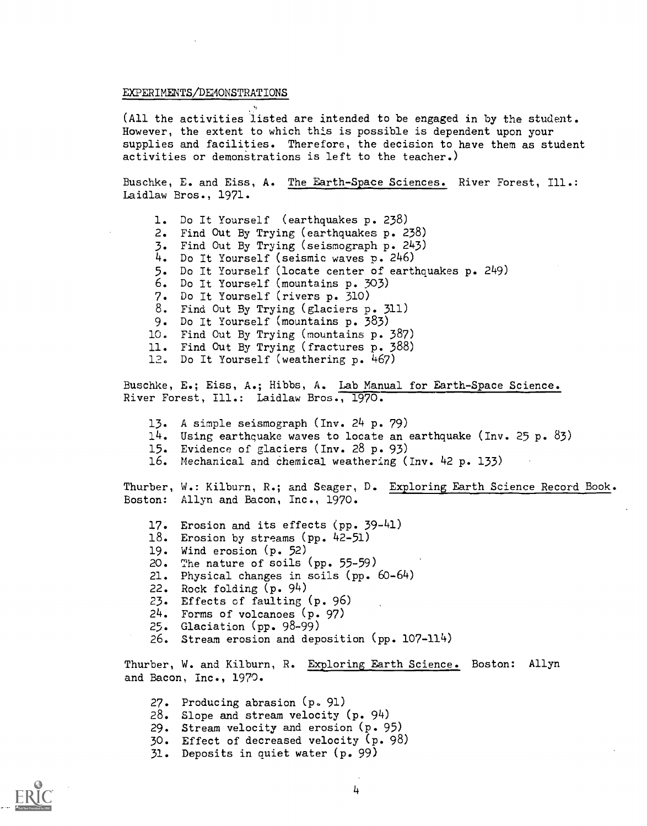#### EXPERIMENTS/DEMONSTRATIONS

(All the activities listed are intended to be engaged in by the student. However, the extent to which this is possible is dependent upon your supplies and facilities. Therefore, the decision to have them as student activities or demonstrations is left to the teacher.)

Buschke, E. and Eiss, A. The Earth-Space Sciences. River Forest, Ill.: Laidlaw Bros., 1971.

1. Do It Yourself (earthquakes p. 238) 2. Find Out By Trying (earthquakes p. 238) 3. Find Out By Trying (seismograph p. 243) 4. Do It Yourself (seismic waves p. 246) 5. Do It Yourself (locate center of earthquakes p. 249) 6. Do It Yourself (mountains p. 303) 7. Do It Yourself (rivers p. 310) 8. Find Out By Trying (glaciers p. 311) 9. Do It Yourself (mountains p. 383) 10. Find Out By Trying (mountains p. 387) 11. Find Out By Trying (fractures p. 388) 12. Do It Yourself (weathering p. 467)

Buschke, E.; Eiss, A.; Hibbs, A. Lab Manual for Earth-Space Science. River Forest, Ill.: Laidlaw Bros., 1970.

- 13. A simple seismograph (Inv. 24 p. 79)
- 14. Using earthquake waves to locate an earthquake (Inv. 25 p. 83)
- 15. Evidence of glaciers (Inv. 28 p. 93)
- 16. Mechanical and chemical weathering (Inv. 42 p. 133)

Thurber, W.: Kilburn, R.; and Seager, D. Exploring Earth Science Record Book. Boston: Allyn and Bacon, Inc., 1970.

17. Erosion and its effects (pp. 39-41) 18. Erosion by streams (pp. 42-51) 19. Wind erosion (p. 52) 20. The nature of soils (pp. 55-59) 21. Physical changes in soils (pp. 60-64) 22. Rock folding (p. 94) 23. Effects of faulting (p. 96) 24. Forms of volcanoes (p. 97) 25. Glaciation (pp. 98-99) 26. Stream erosion and deposition (pp. 107-114)

Thurber, W. and Kilburn, R. Exploring Earth Science. Boston: Allyn and Bacon, Inc., 1970.

27. Producing abrasion (p. 91) 28. Slope and stream velocity (p. 94) 29. Stream velocity and erosion (p. 95) 30. Effect of decreased velocity (p. 98) 31. Deposits in quiet water (p. 99)

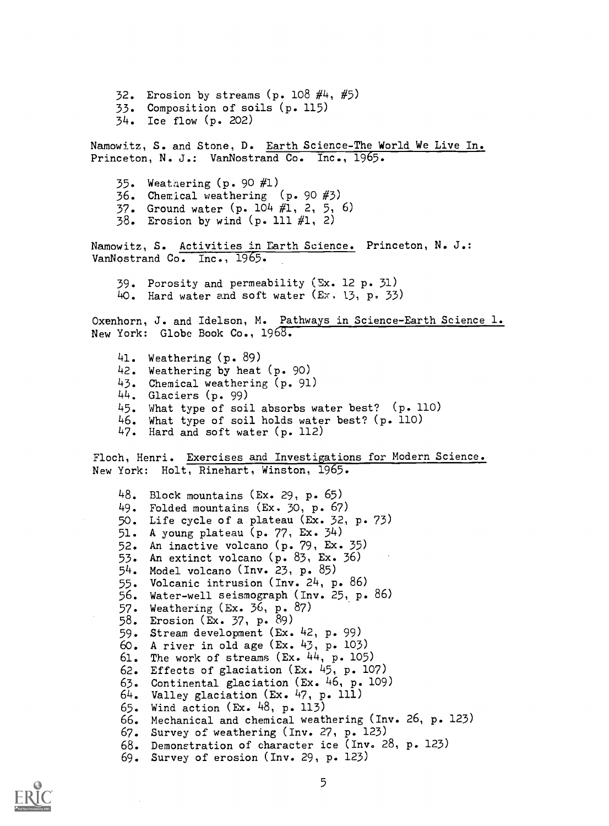32. Erosion by streams (p. 108 #4, #5) 33. Composition of soils (p. 115) 34. Ice flow (p. 202) Namowitz, S. and Stone, D. Earth Science-The World We Live In. Princeton, N. J.: VanNostrand Co. Inc., 1965. 35. Weathering (p. 90 #1) 36. Chemical weathering (p. 90 #3) 37. Ground water (p.  $104 \#1, 2, 5, 6$ ) 38. Erosion by wind (p. 111 #1, 2) Namowitz, S. Activities in Earth Science. Princeton, N. J.: VanNostrand Co. Inc., 1965. 39. Porosity and permeability (Ex. 12 p. 31) 40. Hard water and soft water (Ex, 13, p. 33) Oxenhorn, J. and Idelson, M. Pathways in Science-Earth Science 1. New York: Globe Book Co., 1968. 41. Weathering (p. 89) 42. Weathering by heat (p. 90) 43. Chemical weathering (p. 91) 44. Glaciers (p. 99) 45. What type of soil absorbs water best? (p. 110) 46. What type of soil holds water best? (p. 110) 47. Hard and soft water (p. 112) Floch, Henri. Exercises and Investigations for Modern Science. New York: Holt, Rinehart, Winston, 1965. 48. Block mountains (Ex. 29, p. 65) 49. Folded mountains (Ex. 30, p. 67) 50. Life cycle of a plateau (Ex. 32, p. 73) 51. A young plateau (p. 77, Ex. 34) 52. An inactive volcano (p. 79, Ex. 35) 53. An extinct volcano (p. 83, Ex. 36) 54. Model volcano (Inv. 23, p. 85) 55. Volcanic intrusion (Inv. 24, p. 86) 56. Water-well seismograph (Inv. 25, p. 86) 57. Weathering (Ex. 36, p. 87) 58. Erosion (Ex. 37, p. 89) 59. Stream development (Ex. 42, p. 99) 60. A river in old age (Ex. 43, p. 103) 61. The work of streams (Ex. 44, p. 105) 62. Effects of glaciation (Ex. 45, p. 107) 63. Continental glaciation (Ex. 46, p. 109) 64. Valley glaciation (Ex. 47, p. 111) 65. Wind action (Ex. 48, p. 113) 66. Mechanical and chemical weathering (Inv. 26, p. 123) 67. Survey of weathering (Inv. 27, p. 123) 68. Demonstration of character ice (Inv. 28, p. 123) 69. Survey of erosion (Inv. 29, p. 123)

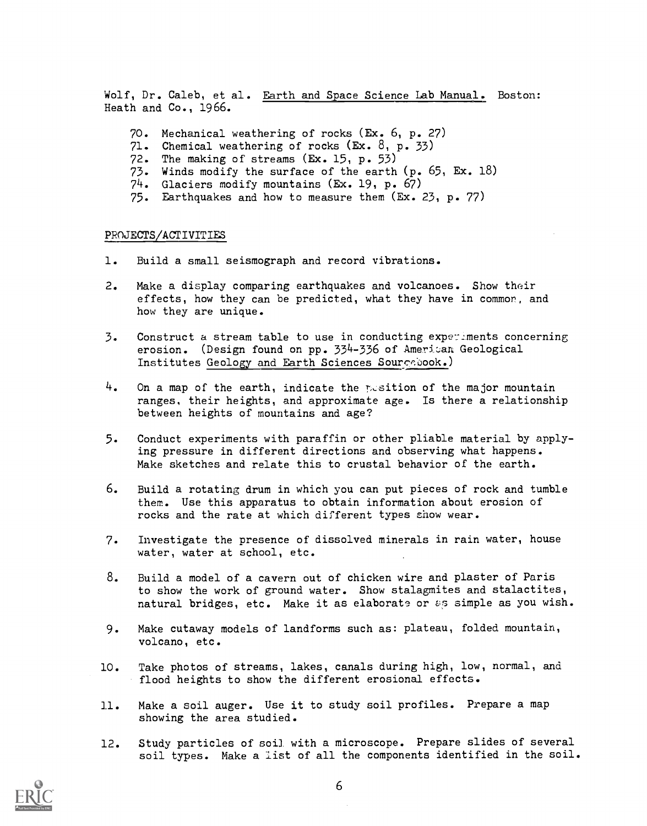Wolf, Dr. Caleb, et al. Earth and Space Science Lab Manual. Boston: Heath and Co., 1966.

- 70. Mechanical weathering of rocks (Ex. 6, p. 27)
- 71. Chemical weathering of rocks (Ex. 8, p. 33)
- 72. The making of streams (Ex. 15, p. 53)
- 73. Winds modify the surface of the earth (p. 65, Ex. 18)
- 74. Glaciers modify mountains (Ex. 19, p. 67)
- 75. Earthquakes and how to measure them (Ex. 23, p. 77)

#### PROJECTS/ACTIVITIES

- 1. Build a small seismograph and record vibrations.
- 2. Make a display comparing earthquakes and volcanoes. Show their effects, how they can be predicted, what they have in common, and how they are unique.
- 3. Construct a stream table to use in conducting expe7.Lments concerning erosion. (Design found on pp. 334-336 of American Geological Institutes Geology and Earth Sciences Sourcebook.)
- $4.$  On a map of the earth, indicate the position of the major mountain ranges, their heights, and approximate age. Is there a relationship between heights of mountains and age?
- 5. Conduct experiments with paraffin or other pliable material by applying pressure in different directions and observing what happens. Make sketches and relate this to crustal behavior of the earth.
- 6. Build a rotating drum in which you can put pieces of rock and tumble them. Use this apparatus to obtain information about erosion of rocks and the rate at which different types show wear.
- 7. Investigate the presence of dissolved minerals in rain water, house water, water at school, etc.
- 8. Build a model of a cavern out of chicken wire and plaster of Paris to show the work of ground water. Show stalagmites and stalactites, natural bridges, etc. Make it as elaborate or  $\epsilon$ s simple as you wish.
- 9. Make cutaway models of landforms such as: plateau, folded mountain, volcano, etc.
- 10. Take photos of streams, lakes, canals during high, low, normal, and flood heights to show the different erosional effects.
- 11. Make a soil auger. Use it to study soil profiles. Prepare a map showing the area studied.
- 12. Study particles of soil with a microscope. Prepare slides of several soil types. Make a list of all the components identified in the soil.

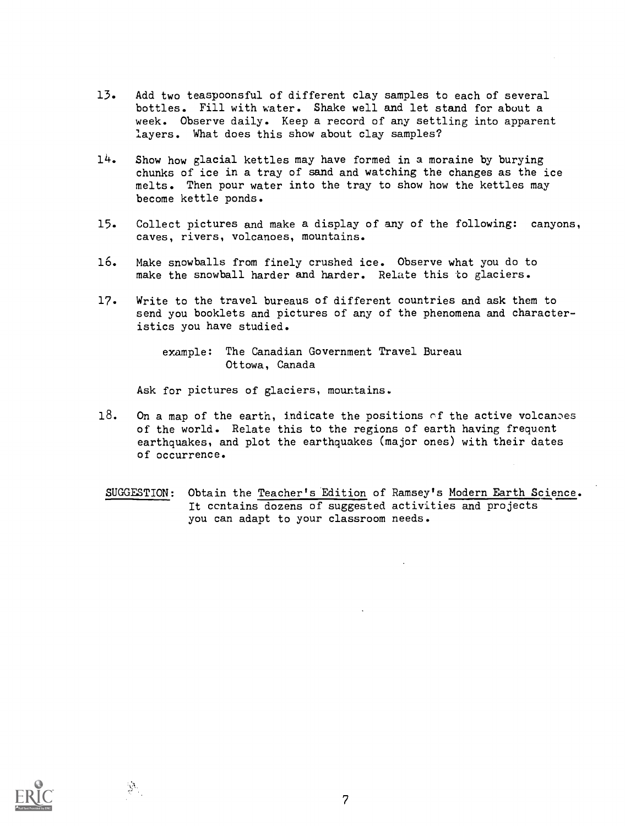- 13. Add two teaspoonsful of different clay samples to each of several bottles. Fill with water. Shake well and let stand for about a week. Observe daily. Keep a record of any settling into apparent layers. What does this show about clay samples?
- 14. Show how glacial kettles may have formed in a moraine by burying chunks of ice in a tray of sand and watching the changes as the ice melts. Then pour water into the tray to show how the kettles may become kettle ponds.
- 15. Collect pictures and make a display of any of the following: canyons, caves, rivers, volcanoes, mountains.
- 16. Make snowballs from finely crushed ice. Observe what you do to make the snowball harder and harder. Relate this to glaciers.
- 17. Write to the travel bureaus of different countries and ask them to send you booklets and pictures of any of the phenomena and characteristics you have studied.

example: The Canadian Government Travel Bureau Ottowa, Canada

Ask for pictures of glaciers, mountains.

- 18. On a map of the earth, indicate the positions of the active volcanoes of the world. Relate this to the regions of earth having frequent earthquakes, and plot the earthquakes (major ones) with their dates of occurrence.
	- SUGGESTION: Obtain the Teacher's Edition of Ramsey's Modern Earth Science. It ccntains dozens of suggested activities and projects you can adapt to your classroom needs.

7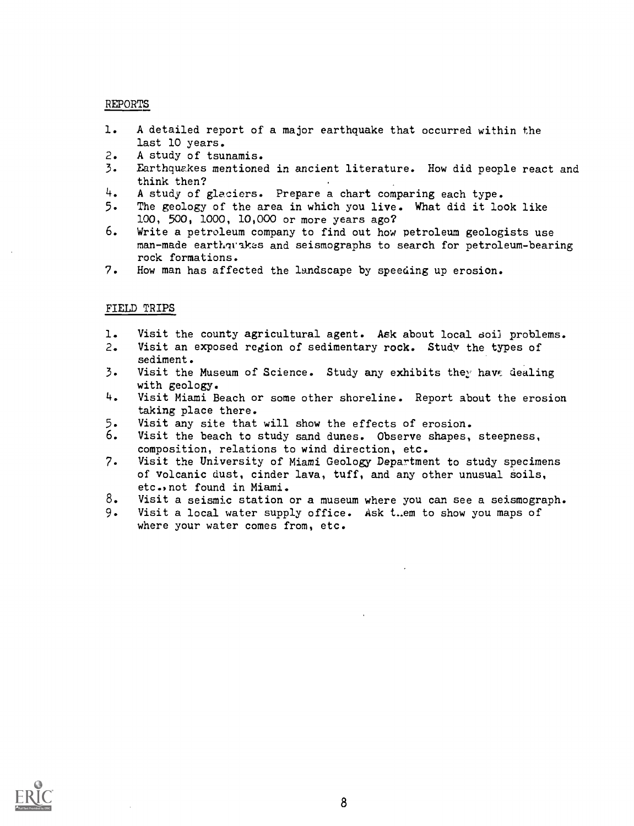#### REPORTS

- 1. A detailed report of a major earthquake that occurred within the last 10 years.
- 2. A study of tsunamis.
- 3. Earthquakes mentioned in ancient literature. How did people react and think then?
- 4. A study of glaciers. Prepare a chart comparing each type.
- 5. The geology of the area in which you live. What did it look like 100, 500, 1000, 10,000 or more years ago?
- 6. Write a petroleum company to find out how petroleum geologists use man-made earthquakes and seismographs to search for petroleum-bearing rock formations.
- 7. How man has affected the landscape by speeding up erosion.

#### FIELD TRIPS

- 1. Visit the county agricultural agent. Ask about local soil problems.
- 2. Visit an exposed region of sedimentary rock. Study the types of sediment.
- 3. Visit the Museum of Science. Study any exhibits they have dealing with geology.
- 4. Visit Miami Beach or some other shoreline. Report about the erosion taking place there.
- 5. Visit any site that will show the effects of erosion.
- 6. Visit the beach to study sand dunes. Observe shapes, steepness, composition, relations to wind direction, etc.
- 7. Visit the University of Miami Geology Department to study specimens of volcanic dust, cinder lava, tuff, and any other unusual soils, etc.,not found in Miami.
- 8. Visit a seismic station or a museum where you can see a seismograph.
- 9. Visit a local water supply office. Ask t.em to show you maps of where your water comes from, etc.

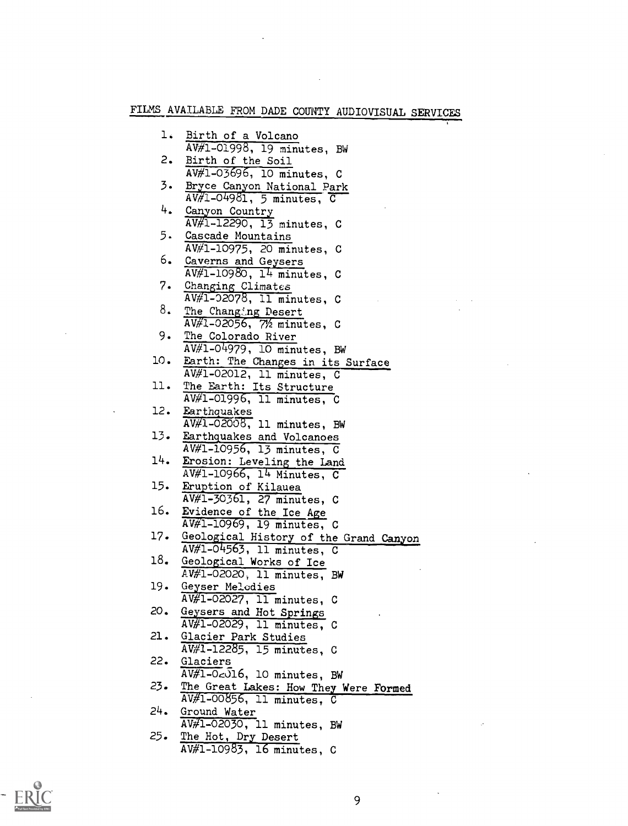## FILMS AVAILABLE FROM DADE COUNTY AUDIOVISUAL SERVICES

 $\ddot{\phantom{a}}$ 

l,

 $\ddot{\phantom{a}}$ 

 $\mathcal{A}$ 

 $\ddot{\phantom{0}}$ 

 $\overline{a}$ 

| ı.     | Birth of a Volcano                                       |  |
|--------|----------------------------------------------------------|--|
|        | AV#1-01998, 19 minutes, BW                               |  |
| 2.     | Birth of the Soil                                        |  |
| 3.     | AV#1-03696, 10 minutes, C                                |  |
|        | Bryce Canyon National Park<br>$AV#1-O4981, 5 minutes, C$ |  |
| 4.     | Canyon Country                                           |  |
|        | $\overline{AV#1 - 12290}$ , 13 minutes, C                |  |
| 5.     | Cascade Mountains                                        |  |
|        | $AV#1-10975$ , 20 minutes, C                             |  |
| 6.     | Caverns and Geysers                                      |  |
|        | $AV#1-10980, 14 minutes,$<br>C                           |  |
| 7.     | Changing Climates                                        |  |
|        | $AV#1-02078$ , $\overline{11}$ minutes,<br>C             |  |
| 8.     | The Changing Desert                                      |  |
| 9.     | $AV#1-02056, 7%$ minutes,<br>C                           |  |
|        | The Colorado River<br>$AV#1-04979$ , iO minutes, BW      |  |
| 10.    | Earth: The Changes in its Surface                        |  |
|        | AV#1-02012, 11 minutes, C                                |  |
| 11.    | The Earth: Its Structure                                 |  |
|        | AV#1-01996, 11 minutes, C                                |  |
| 12.    | Earthquakes                                              |  |
|        | $AV#1-02007$ , 11 minutes, BW                            |  |
| 13.    | Earthquakes and Volcanoes                                |  |
| 14.    | AV#1-10956, 13 minutes, C                                |  |
|        | Erosion: Leveling the Land                               |  |
| 15.    | AV#1-10966, 14 Minutes, C<br>Eruption of Kilauea         |  |
|        | AV#1-30361, 27 minutes, C                                |  |
| 16.    | Evidence of the Ice Age                                  |  |
|        | AV#1-10969, 19 minutes, C                                |  |
| 17.    | Geological History of the Grand Canyon                   |  |
|        | AV#1-04563, 11 minutes, C                                |  |
| 18.    | Geological Works of Ice                                  |  |
|        | AV#1-02020, 11 minutes, BW                               |  |
| 19.    | Geyser Melodies                                          |  |
| 20.    | AV#1-02027, 11 minutes, C                                |  |
|        | Geysers and Hot Springs<br>AV#1-02029, 11 minutes, C     |  |
| 21.    | Glacier Park Studies                                     |  |
|        | AV#1-12285, 15 minutes, C                                |  |
| 22.    | Glaciers                                                 |  |
|        | $AV#1-OcJ16$ , 10 minutes, BW                            |  |
| $23 -$ | The Great Lakes: How They Were Formed                    |  |
|        | AV#1-00856, 11 minutes, C                                |  |
| 24.    | Ground Water                                             |  |
|        | $\overline{AV#1 - 02030}$ , 11 minutes,<br>BW            |  |
| $25 -$ | The Hot, Dry Desert<br>AV#1-10983, 16 minutes, C         |  |
|        |                                                          |  |



 $\bar{\mathcal{A}}$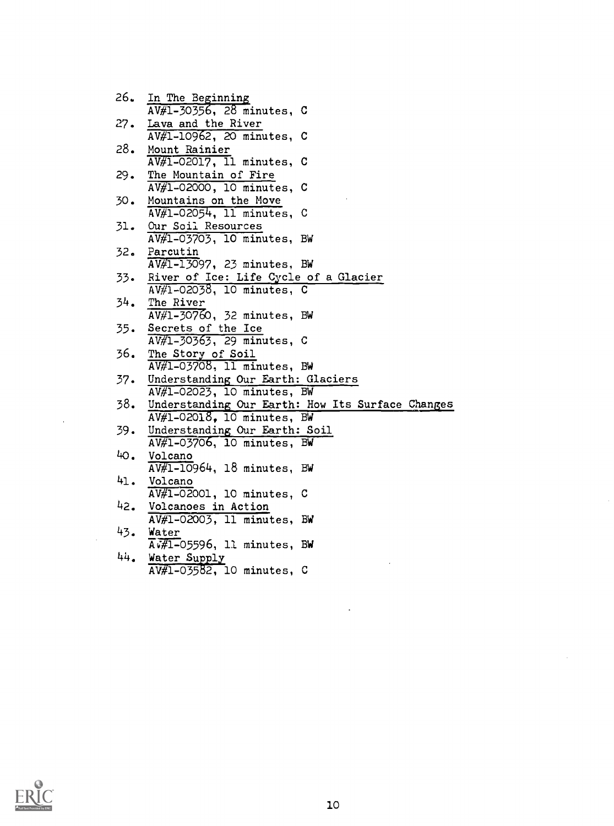| 26. | In The Beginning                                                                      |
|-----|---------------------------------------------------------------------------------------|
|     | $AV#1-30356, 28 minutes, C$                                                           |
| 27. | Lava and the River                                                                    |
|     | $\overline{\text{AV#1-10962}}$ , 20 minutes, C                                        |
| 28. | Mount Rainier                                                                         |
|     | $\overline{\text{AV#1--02017}}$ , 11 minutes, C                                       |
| 29. | The Mountain of Fire                                                                  |
|     | $\overline{\text{AV#1-02000}}$ , 10 minutes, C                                        |
| 30. | Mountains on the Move                                                                 |
|     | AV#1-02054, 11 minutes, C                                                             |
| 31. | Our Soil Resources<br>AV#1-03703, 10 minutes, BW                                      |
| 32. | Parcutin                                                                              |
|     | AV#1-13097, 23 minutes, BW                                                            |
| 33. | River of Ice: Life Cycle of a Glacier                                                 |
|     | $AV#1-02038$ , 10 minutes, C                                                          |
|     | 34. The River                                                                         |
|     | $AV#1 - 30760, 32 minutes, BW$                                                        |
|     | 35. Secrets of the Ice                                                                |
|     | AV#1-30363, 29 minutes, C                                                             |
| 36. | The Story of Soil                                                                     |
|     | $AV#1-03708$ , 11 minutes, BW                                                         |
| 37. | Understanding Our Earth: Glaciers                                                     |
|     | $\overline{\text{AV#1-02023}}$ , 10 minutes, BW                                       |
|     | 38. Understanding Our Earth: How Its Surface Changes<br>$AV#1-02018$ , 10 minutes, BW |
| 39. | Understanding Our Earth: Soil                                                         |
|     | $AV#1-03706$ , 10 minutes, BW                                                         |
| 40. | Volcano                                                                               |
|     | $\overline{\text{AV#1-10964}}$ , 18 minutes, BW                                       |
| 41. | Volcano                                                                               |
|     | $AV#1-02001$ , 10 minutes, C                                                          |
| 42. | Volcanoes in Action                                                                   |
|     | $AV#1-02003$ , 11 minutes, BW                                                         |
| 43. | Water                                                                                 |
|     | $\overline{A}$ $\overline{H}$ -05596, 11 minutes, BW                                  |
| 44. | Water Supply                                                                          |
|     | AV#1-03582, 10 minutes, C                                                             |



 $\bar{z}$ 

 $\mathcal{A}^{\mathcal{A}}$ 

 $\sim 10^{10}$  km  $^{-1}$ 

 $\sim$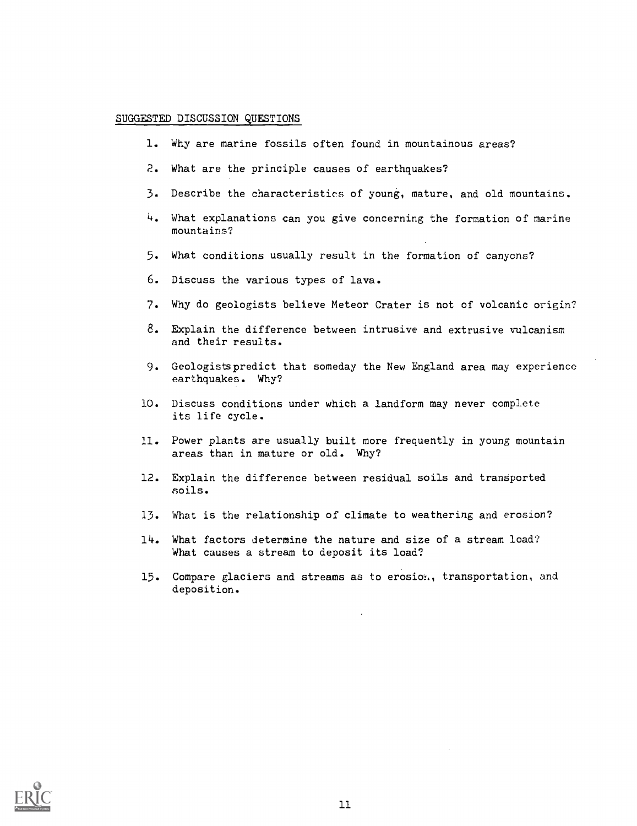#### SUGGESTED DISCUSSION QUESTIONS

- 1. Why are marine fossils often found in mountainous areas?
- 2. What are the principle causes of earthquakes?
- 3. Describe the characteristics of young, mature, and old mountains.
- 4. What explanations can you give concerning the formation of marine mountains?
- 5. What conditions usually result in the formation of canyons?
- 6. Discuss the various types of lava.
- 7. Why do geologists believe Meteor Crater is not of volcanic origin?
- 8. Explain the difference between intrusive and extrusive vulcanism and their results.
- 9. Geologists predict that someday the New England area may experience earthquakes. Why?
- 10. Discuss conditions under which a landform may never complete its life cycle.
- 11. Power plants are usually built more frequently in young mountain areas than in mature or old. Why?
- 12. Explain the difference between residual soils and transported soils.
- 13. What is the relationship of climate to weathering and erosion?
- 14. What factors determine the nature and size of a stream load? What causes a stream to deposit its load?
- 15. Compare glaciers and streams as to erosion., transportation, and deposition.

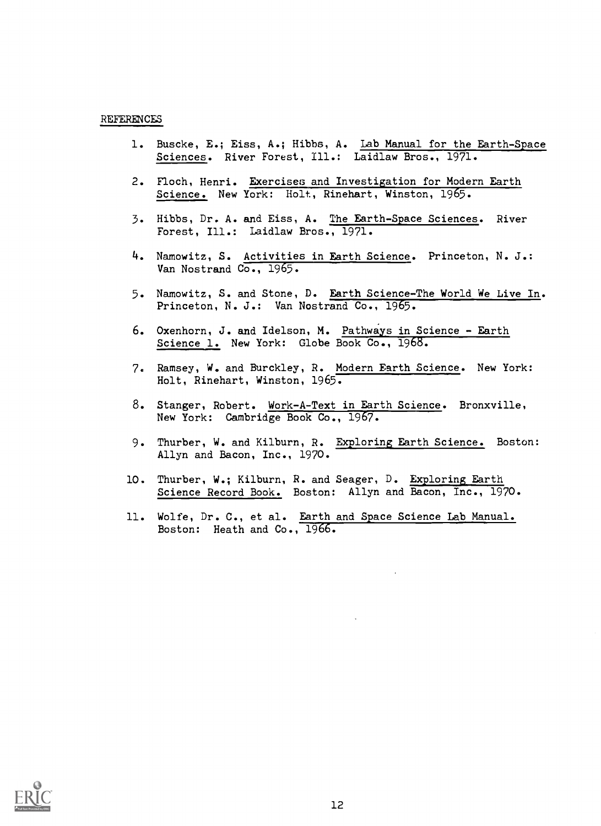#### REFERENCES

- 1. Buscke, E.; Eiss, A.; Hibbs, A. Lab Manual for the Earth-Space Sciences. River Forest, Ill.: Laidlaw Bros., 1971.
- 2. Floch, Henri. Exercises and Investigation for Modern Earth Science. New York: Holt, Rinehart, Winston, 1965.
- 3. Hibbs, Dr. A. and Eiss, A. The Earth-Space Sciences. River Forest, Ill.: Laidlaw Bros., 1971.
- 4. Namowitz, S. Activities in Earth Science. Princeton, N. J.: Van Nostrand Co., 1965.
- 5. Namowitz, S. and Stone, D. Earth Science-The World We Live In. Princeton, N. J.: Van Nostrand Co., 1965.
- 6. Oxenhorn, J. and Idelson, M. Pathways in Science Earth Science 1. New York: Globe Book Co., 1968.
- 7. Ramsey, W. and Burckley, R. Modern Earth Science. New York: Holt, Rinehart, Winston, 1965.
- 8. Stanger, Robert. Work-A-Text in Earth Science. Bronxville, New York: Cambridge Book Co., 1967.
- 9. Thurber, W. and Kilburn, R. Exploring Earth Science. Boston: Allyn and Bacon, Inc., 1970.
- 10. Thurber, W.; Kilburn, R. and Seager, D. Exploring Earth Science Record Book. Boston: Allyn and Bacon, Inc., 1970.
- 11. Wolfe, Dr. C., et al. Earth and Space Science Lab Manual. Boston: Heath and Co., 1966.